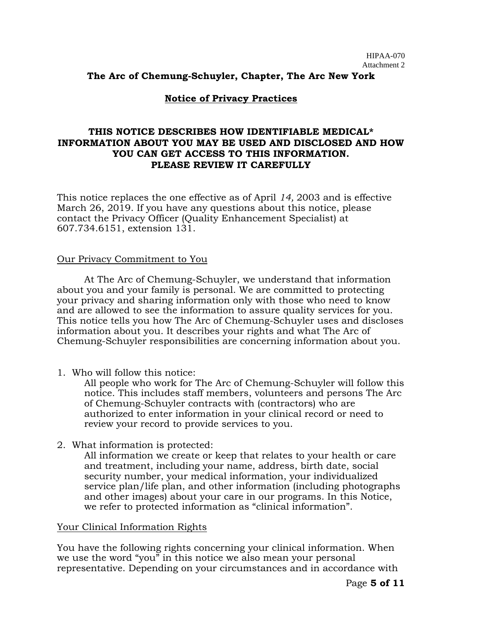### **The Arc of Chemung-Schuyler, Chapter, The Arc New York**

#### **Notice of Privacy Practices**

## **THIS NOTICE DESCRIBES HOW IDENTIFIABLE MEDICAL\* INFORMATION ABOUT YOU MAY BE USED AND DISCLOSED AND HOW YOU CAN GET ACCESS TO THIS INFORMATION. PLEASE REVIEW IT CAREFULLY**

This notice replaces the one effective as of April *14,* 2003 and is effective March 26, 2019. If you have any questions about this notice, please contact the Privacy Officer (Quality Enhancement Specialist) at 607.734.6151, extension 131.

#### Our Privacy Commitment to You

At The Arc of Chemung-Schuyler, we understand that information about you and your family is personal. We are committed to protecting your privacy and sharing information only with those who need to know and are allowed to see the information to assure quality services for you. This notice tells you how The Arc of Chemung-Schuyler uses and discloses information about you. It describes your rights and what The Arc of Chemung-Schuyler responsibilities are concerning information about you.

1. Who will follow this notice:

All people who work for The Arc of Chemung-Schuyler will follow this notice. This includes staff members, volunteers and persons The Arc of Chemung-Schuyler contracts with (contractors) who are authorized to enter information in your clinical record or need to review your record to provide services to you.

2. What information is protected:

All information we create or keep that relates to your health or care and treatment, including your name, address, birth date, social security number, your medical information, your individualized service plan/life plan, and other information (including photographs and other images) about your care in our programs. In this Notice, we refer to protected information as "clinical information".

#### Your Clinical Information Rights

You have the following rights concerning your clinical information. When we use the word "you" in this notice we also mean your personal representative. Depending on your circumstances and in accordance with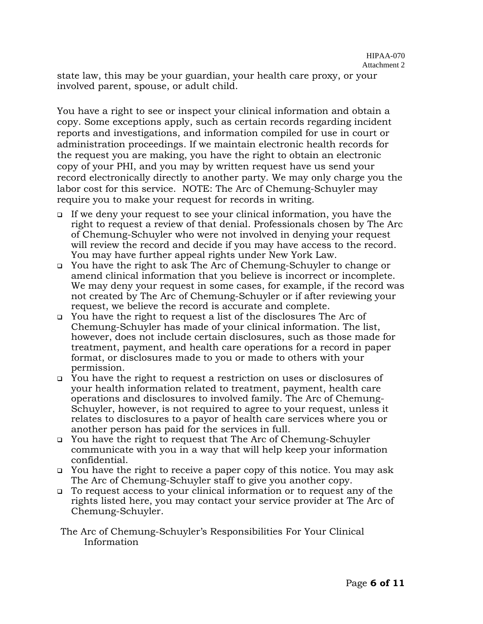state law, this may be your guardian, your health care proxy, or your involved parent, spouse, or adult child.

You have a right to see or inspect your clinical information and obtain a copy. Some exceptions apply, such as certain records regarding incident reports and investigations, and information compiled for use in court or administration proceedings. If we maintain electronic health records for the request you are making, you have the right to obtain an electronic copy of your PHI, and you may by written request have us send your record electronically directly to another party. We may only charge you the labor cost for this service. NOTE: The Arc of Chemung-Schuyler may require you to make your request for records in writing.

- ❑ If we deny your request to see your clinical information, you have the right to request a review of that denial. Professionals chosen by The Arc of Chemung-Schuyler who were not involved in denying your request will review the record and decide if you may have access to the record. You may have further appeal rights under New York Law.
- ❑ You have the right to ask The Arc of Chemung-Schuyler to change or amend clinical information that you believe is incorrect or incomplete. We may deny your request in some cases, for example, if the record was not created by The Arc of Chemung-Schuyler or if after reviewing your request, we believe the record is accurate and complete.
- ❑ You have the right to request a list of the disclosures The Arc of Chemung-Schuyler has made of your clinical information. The list, however, does not include certain disclosures, such as those made for treatment, payment, and health care operations for a record in paper format, or disclosures made to you or made to others with your permission.
- ❑ You have the right to request a restriction on uses or disclosures of your health information related to treatment, payment, health care operations and disclosures to involved family. The Arc of Chemung-Schuyler, however, is not required to agree to your request, unless it relates to disclosures to a payor of health care services where you or another person has paid for the services in full.
- ❑ You have the right to request that The Arc of Chemung-Schuyler communicate with you in a way that will help keep your information confidential.
- ❑ You have the right to receive a paper copy of this notice. You may ask The Arc of Chemung-Schuyler staff to give you another copy.
- ❑ To request access to your clinical information or to request any of the rights listed here, you may contact your service provider at The Arc of Chemung-Schuyler.

### The Arc of Chemung-Schuyler's Responsibilities For Your Clinical Information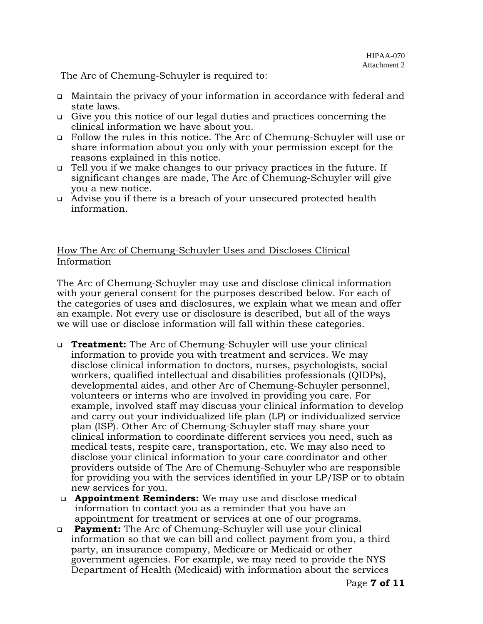The Arc of Chemung-Schuyler is required to:

- ❑ Maintain the privacy of your information in accordance with federal and state laws.
- ❑ Give you this notice of our legal duties and practices concerning the clinical information we have about you.
- ❑ Follow the rules in this notice. The Arc of Chemung-Schuyler will use or share information about you only with your permission except for the reasons explained in this notice.
- ❑ Tell you if we make changes to our privacy practices in the future. If significant changes are made, The Arc of Chemung-Schuyler will give you a new notice.
- ❑ Advise you if there is a breach of your unsecured protected health information.

## How The Arc of Chemung-Schuyler Uses and Discloses Clinical Information

The Arc of Chemung-Schuyler may use and disclose clinical information with your general consent for the purposes described below. For each of the categories of uses and disclosures, we explain what we mean and offer an example. Not every use or disclosure is described, but all of the ways we will use or disclose information will fall within these categories.

- ❑ **Treatment:** The Arc of Chemung-Schuyler will use your clinical information to provide you with treatment and services. We may disclose clinical information to doctors, nurses, psychologists, social workers, qualified intellectual and disabilities professionals (QIDPs), developmental aides, and other Arc of Chemung-Schuyler personnel, volunteers or interns who are involved in providing you care. For example, involved staff may discuss your clinical information to develop and carry out your individualized life plan (LP) or individualized service plan (ISP). Other Arc of Chemung-Schuyler staff may share your clinical information to coordinate different services you need, such as medical tests, respite care, transportation, etc. We may also need to disclose your clinical information to your care coordinator and other providers outside of The Arc of Chemung-Schuyler who are responsible for providing you with the services identified in your LP/ISP or to obtain new services for you.
- ❑ **Appointment Reminders:** We may use and disclose medical information to contact you as a reminder that you have an appointment for treatment or services at one of our programs.
- ❑ **Payment:** The Arc of Chemung-Schuyler will use your clinical information so that we can bill and collect payment from you, a third party, an insurance company, Medicare or Medicaid or other government agencies. For example, we may need to provide the NYS Department of Health (Medicaid) with information about the services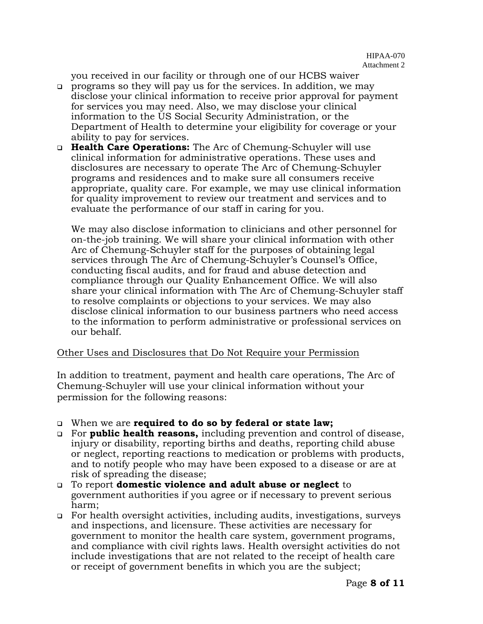you received in our facility or through one of our HCBS waiver

- ❑ programs so they will pay us for the services. In addition, we may disclose your clinical information to receive prior approval for payment for services you may need. Also, we may disclose your clinical information to the US Social Security Administration, or the Department of Health to determine your eligibility for coverage or your ability to pay for services.
- ❑ **Health Care Operations:** The Arc of Chemung-Schuyler will use clinical information for administrative operations. These uses and disclosures are necessary to operate The Arc of Chemung-Schuyler programs and residences and to make sure all consumers receive appropriate, quality care. For example, we may use clinical information for quality improvement to review our treatment and services and to evaluate the performance of our staff in caring for you.

We may also disclose information to clinicians and other personnel for on-the-job training. We will share your clinical information with other Arc of Chemung-Schuyler staff for the purposes of obtaining legal services through The Arc of Chemung-Schuyler's Counsel's Office, conducting fiscal audits, and for fraud and abuse detection and compliance through our Quality Enhancement Office. We will also share your clinical information with The Arc of Chemung-Schuyler staff to resolve complaints or objections to your services. We may also disclose clinical information to our business partners who need access to the information to perform administrative or professional services on our behalf.

### Other Uses and Disclosures that Do Not Require your Permission

In addition to treatment, payment and health care operations, The Arc of Chemung-Schuyler will use your clinical information without your permission for the following reasons:

- ❑ When we are **required to do so by federal or state law;**
- ❑ For **public health reasons,** including prevention and control of disease, injury or disability, reporting births and deaths, reporting child abuse or neglect, reporting reactions to medication or problems with products, and to notify people who may have been exposed to a disease or are at risk of spreading the disease;
- ❑ To report **domestic violence and adult abuse or neglect** to government authorities if you agree or if necessary to prevent serious harm;
- ❑ For health oversight activities, including audits, investigations, surveys and inspections, and licensure. These activities are necessary for government to monitor the health care system, government programs, and compliance with civil rights laws. Health oversight activities do not include investigations that are not related to the receipt of health care or receipt of government benefits in which you are the subject;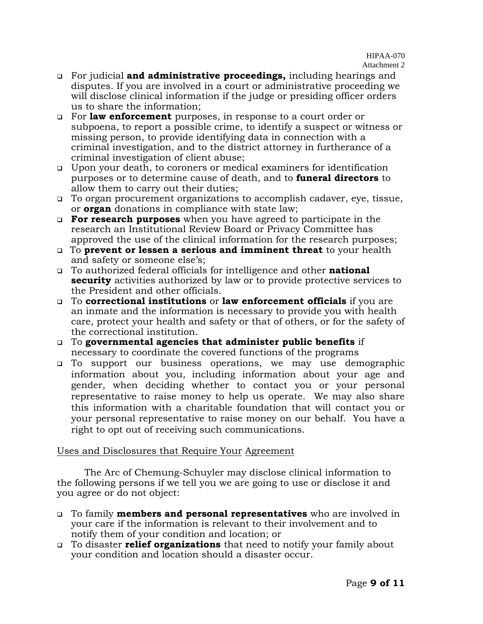- ❑ For judicial **and administrative proceedings,** including hearings and disputes. If you are involved in a court or administrative proceeding we will disclose clinical information if the judge or presiding officer orders us to share the information;
- ❑ For **law enforcement** purposes, in response to a court order or subpoena, to report a possible crime, to identify a suspect or witness or missing person, to provide identifying data in connection with a criminal investigation, and to the district attorney in furtherance of a criminal investigation of client abuse;
- ❑ Upon your death, to coroners or medical examiners for identification purposes or to determine cause of death, and to **funeral directors** to allow them to carry out their duties;
- ❑ To organ procurement organizations to accomplish cadaver, eye, tissue, or **organ** donations in compliance with state law;
- ❑ **For research purposes** when you have agreed to participate in the research an Institutional Review Board or Privacy Committee has approved the use of the clinical information for the research purposes;
- ❑ To **prevent or lessen a serious and imminent threat** to your health and safety or someone else's;
- ❑ To authorized federal officials for intelligence and other **national security** activities authorized by law or to provide protective services to the President and other officials.
- ❑ To **correctional institutions** or **law enforcement officials** if you are an inmate and the information is necessary to provide you with health care, protect your health and safety or that of others, or for the safety of the correctional institution.
- ❑ To **governmental agencies that administer public benefits** if necessary to coordinate the covered functions of the programs
- ❑ To support our business operations, we may use demographic information about you, including information about your age and gender, when deciding whether to contact you or your personal representative to raise money to help us operate. We may also share this information with a charitable foundation that will contact you or your personal representative to raise money on our behalf. You have a right to opt out of receiving such communications.

## Uses and Disclosures that Require Your Agreement

The Arc of Chemung-Schuyler may disclose clinical information to the following persons if we tell you we are going to use or disclose it and you agree or do not object:

- ❑ To family **members and personal representatives** who are involved in your care if the information is relevant to their involvement and to notify them of your condition and location; or
- ❑ To disaster **relief organizations** that need to notify your family about your condition and location should a disaster occur.